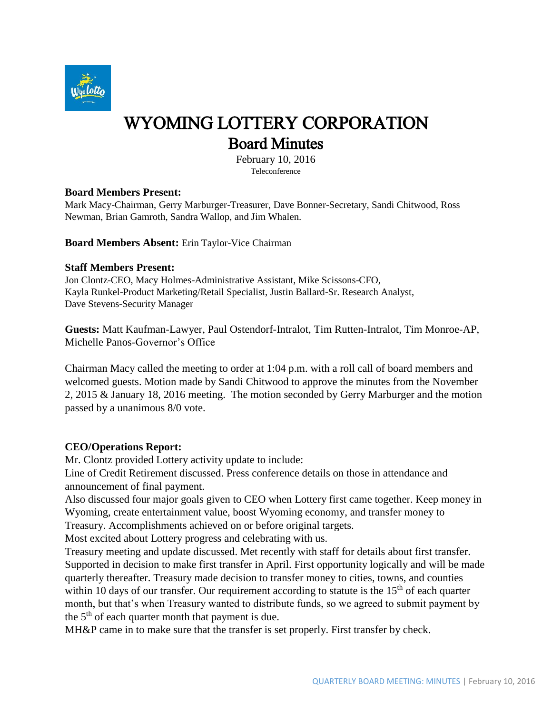

# WYOMING LOTTERY CORPORATION Board Minutes

February 10, 2016 Teleconference

## **Board Members Present:**

Mark Macy-Chairman, Gerry Marburger-Treasurer, Dave Bonner-Secretary, Sandi Chitwood, Ross Newman, Brian Gamroth, Sandra Wallop, and Jim Whalen.

## **Board Members Absent:** Erin Taylor-Vice Chairman

#### **Staff Members Present:**

Jon Clontz-CEO, Macy Holmes-Administrative Assistant, Mike Scissons-CFO, Kayla Runkel-Product Marketing/Retail Specialist, Justin Ballard-Sr. Research Analyst, Dave Stevens-Security Manager

**Guests:** Matt Kaufman-Lawyer, Paul Ostendorf-Intralot, Tim Rutten-Intralot, Tim Monroe-AP, Michelle Panos-Governor's Office

Chairman Macy called the meeting to order at 1:04 p.m. with a roll call of board members and welcomed guests. Motion made by Sandi Chitwood to approve the minutes from the November 2, 2015 & January 18, 2016 meeting. The motion seconded by Gerry Marburger and the motion passed by a unanimous 8/0 vote.

## **CEO/Operations Report:**

Mr. Clontz provided Lottery activity update to include:

Line of Credit Retirement discussed. Press conference details on those in attendance and announcement of final payment.

Also discussed four major goals given to CEO when Lottery first came together. Keep money in Wyoming, create entertainment value, boost Wyoming economy, and transfer money to Treasury. Accomplishments achieved on or before original targets.

Most excited about Lottery progress and celebrating with us.

Treasury meeting and update discussed. Met recently with staff for details about first transfer. Supported in decision to make first transfer in April. First opportunity logically and will be made quarterly thereafter. Treasury made decision to transfer money to cities, towns, and counties within 10 days of our transfer. Our requirement according to statute is the  $15<sup>th</sup>$  of each quarter month, but that's when Treasury wanted to distribute funds, so we agreed to submit payment by the  $5<sup>th</sup>$  of each quarter month that payment is due.

MH&P came in to make sure that the transfer is set properly. First transfer by check.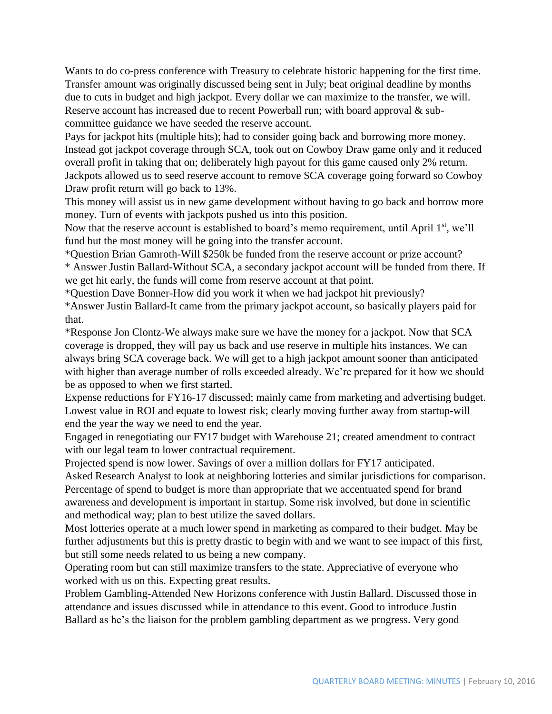Wants to do co-press conference with Treasury to celebrate historic happening for the first time. Transfer amount was originally discussed being sent in July; beat original deadline by months due to cuts in budget and high jackpot. Every dollar we can maximize to the transfer, we will. Reserve account has increased due to recent Powerball run; with board approval & subcommittee guidance we have seeded the reserve account.

Pays for jackpot hits (multiple hits); had to consider going back and borrowing more money. Instead got jackpot coverage through SCA, took out on Cowboy Draw game only and it reduced overall profit in taking that on; deliberately high payout for this game caused only 2% return. Jackpots allowed us to seed reserve account to remove SCA coverage going forward so Cowboy Draw profit return will go back to 13%.

This money will assist us in new game development without having to go back and borrow more money. Turn of events with jackpots pushed us into this position.

Now that the reserve account is established to board's memo requirement, until April 1<sup>st</sup>, we'll fund but the most money will be going into the transfer account.

\*Question Brian Gamroth-Will \$250k be funded from the reserve account or prize account?

\* Answer Justin Ballard-Without SCA, a secondary jackpot account will be funded from there. If we get hit early, the funds will come from reserve account at that point.

\*Question Dave Bonner-How did you work it when we had jackpot hit previously?

\*Answer Justin Ballard-It came from the primary jackpot account, so basically players paid for that.

\*Response Jon Clontz-We always make sure we have the money for a jackpot. Now that SCA coverage is dropped, they will pay us back and use reserve in multiple hits instances. We can always bring SCA coverage back. We will get to a high jackpot amount sooner than anticipated with higher than average number of rolls exceeded already. We're prepared for it how we should be as opposed to when we first started.

Expense reductions for FY16-17 discussed; mainly came from marketing and advertising budget. Lowest value in ROI and equate to lowest risk; clearly moving further away from startup-will end the year the way we need to end the year.

Engaged in renegotiating our FY17 budget with Warehouse 21; created amendment to contract with our legal team to lower contractual requirement.

Projected spend is now lower. Savings of over a million dollars for FY17 anticipated.

Asked Research Analyst to look at neighboring lotteries and similar jurisdictions for comparison. Percentage of spend to budget is more than appropriate that we accentuated spend for brand awareness and development is important in startup. Some risk involved, but done in scientific and methodical way; plan to best utilize the saved dollars.

Most lotteries operate at a much lower spend in marketing as compared to their budget. May be further adjustments but this is pretty drastic to begin with and we want to see impact of this first, but still some needs related to us being a new company.

Operating room but can still maximize transfers to the state. Appreciative of everyone who worked with us on this. Expecting great results.

Problem Gambling-Attended New Horizons conference with Justin Ballard. Discussed those in attendance and issues discussed while in attendance to this event. Good to introduce Justin Ballard as he's the liaison for the problem gambling department as we progress. Very good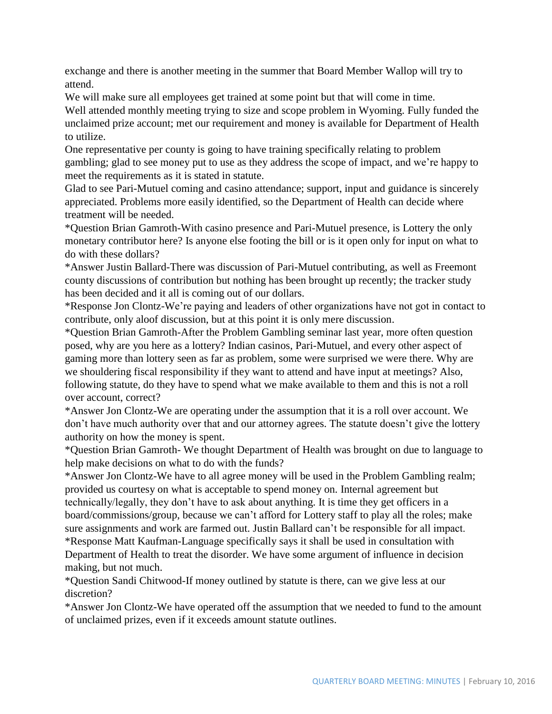exchange and there is another meeting in the summer that Board Member Wallop will try to attend.

We will make sure all employees get trained at some point but that will come in time.

Well attended monthly meeting trying to size and scope problem in Wyoming. Fully funded the unclaimed prize account; met our requirement and money is available for Department of Health to utilize.

One representative per county is going to have training specifically relating to problem gambling; glad to see money put to use as they address the scope of impact, and we're happy to meet the requirements as it is stated in statute.

Glad to see Pari-Mutuel coming and casino attendance; support, input and guidance is sincerely appreciated. Problems more easily identified, so the Department of Health can decide where treatment will be needed.

\*Question Brian Gamroth-With casino presence and Pari-Mutuel presence, is Lottery the only monetary contributor here? Is anyone else footing the bill or is it open only for input on what to do with these dollars?

\*Answer Justin Ballard-There was discussion of Pari-Mutuel contributing, as well as Freemont county discussions of contribution but nothing has been brought up recently; the tracker study has been decided and it all is coming out of our dollars.

\*Response Jon Clontz-We're paying and leaders of other organizations have not got in contact to contribute, only aloof discussion, but at this point it is only mere discussion.

\*Question Brian Gamroth-After the Problem Gambling seminar last year, more often question posed, why are you here as a lottery? Indian casinos, Pari-Mutuel, and every other aspect of gaming more than lottery seen as far as problem, some were surprised we were there. Why are we shouldering fiscal responsibility if they want to attend and have input at meetings? Also, following statute, do they have to spend what we make available to them and this is not a roll over account, correct?

\*Answer Jon Clontz-We are operating under the assumption that it is a roll over account. We don't have much authority over that and our attorney agrees. The statute doesn't give the lottery authority on how the money is spent.

\*Question Brian Gamroth- We thought Department of Health was brought on due to language to help make decisions on what to do with the funds?

\*Answer Jon Clontz-We have to all agree money will be used in the Problem Gambling realm; provided us courtesy on what is acceptable to spend money on. Internal agreement but technically/legally, they don't have to ask about anything. It is time they get officers in a board/commissions/group, because we can't afford for Lottery staff to play all the roles; make sure assignments and work are farmed out. Justin Ballard can't be responsible for all impact.

\*Response Matt Kaufman-Language specifically says it shall be used in consultation with Department of Health to treat the disorder. We have some argument of influence in decision making, but not much.

\*Question Sandi Chitwood-If money outlined by statute is there, can we give less at our discretion?

\*Answer Jon Clontz-We have operated off the assumption that we needed to fund to the amount of unclaimed prizes, even if it exceeds amount statute outlines.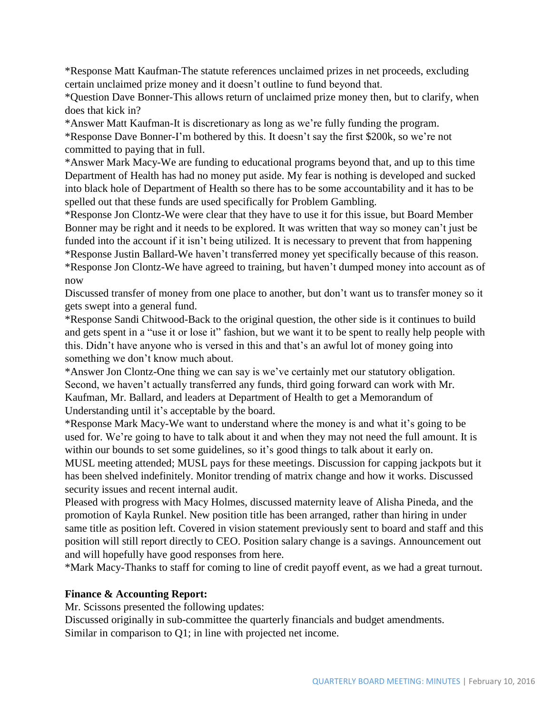\*Response Matt Kaufman-The statute references unclaimed prizes in net proceeds, excluding certain unclaimed prize money and it doesn't outline to fund beyond that.

\*Question Dave Bonner-This allows return of unclaimed prize money then, but to clarify, when does that kick in?

\*Answer Matt Kaufman-It is discretionary as long as we're fully funding the program. \*Response Dave Bonner-I'm bothered by this. It doesn't say the first \$200k, so we're not committed to paying that in full.

\*Answer Mark Macy-We are funding to educational programs beyond that, and up to this time Department of Health has had no money put aside. My fear is nothing is developed and sucked into black hole of Department of Health so there has to be some accountability and it has to be spelled out that these funds are used specifically for Problem Gambling.

\*Response Jon Clontz-We were clear that they have to use it for this issue, but Board Member Bonner may be right and it needs to be explored. It was written that way so money can't just be funded into the account if it isn't being utilized. It is necessary to prevent that from happening \*Response Justin Ballard-We haven't transferred money yet specifically because of this reason. \*Response Jon Clontz-We have agreed to training, but haven't dumped money into account as of now

Discussed transfer of money from one place to another, but don't want us to transfer money so it gets swept into a general fund.

\*Response Sandi Chitwood-Back to the original question, the other side is it continues to build and gets spent in a "use it or lose it" fashion, but we want it to be spent to really help people with this. Didn't have anyone who is versed in this and that's an awful lot of money going into something we don't know much about.

\*Answer Jon Clontz-One thing we can say is we've certainly met our statutory obligation. Second, we haven't actually transferred any funds, third going forward can work with Mr. Kaufman, Mr. Ballard, and leaders at Department of Health to get a Memorandum of Understanding until it's acceptable by the board.

\*Response Mark Macy-We want to understand where the money is and what it's going to be used for. We're going to have to talk about it and when they may not need the full amount. It is within our bounds to set some guidelines, so it's good things to talk about it early on. MUSL meeting attended; MUSL pays for these meetings. Discussion for capping jackpots but it has been shelved indefinitely. Monitor trending of matrix change and how it works. Discussed security issues and recent internal audit.

Pleased with progress with Macy Holmes, discussed maternity leave of Alisha Pineda, and the promotion of Kayla Runkel. New position title has been arranged, rather than hiring in under same title as position left. Covered in vision statement previously sent to board and staff and this position will still report directly to CEO. Position salary change is a savings. Announcement out and will hopefully have good responses from here.

\*Mark Macy-Thanks to staff for coming to line of credit payoff event, as we had a great turnout.

# **Finance & Accounting Report:**

Mr. Scissons presented the following updates:

Discussed originally in sub-committee the quarterly financials and budget amendments. Similar in comparison to Q1; in line with projected net income.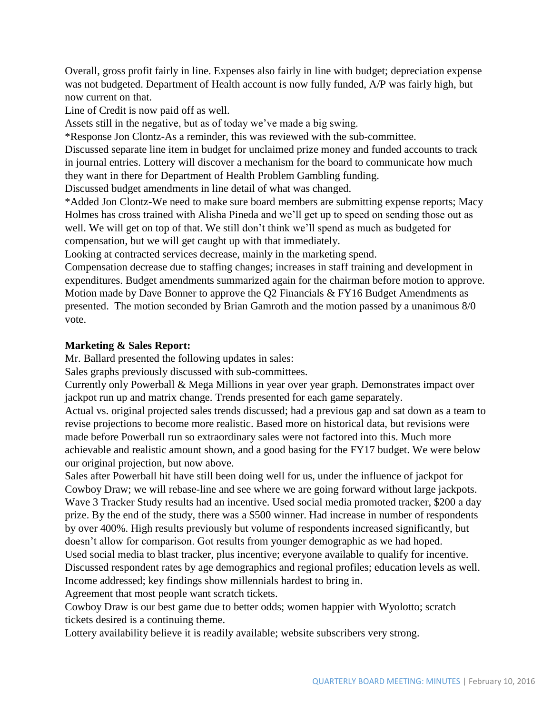Overall, gross profit fairly in line. Expenses also fairly in line with budget; depreciation expense was not budgeted. Department of Health account is now fully funded, A/P was fairly high, but now current on that.

Line of Credit is now paid off as well.

Assets still in the negative, but as of today we've made a big swing.

\*Response Jon Clontz-As a reminder, this was reviewed with the sub-committee.

Discussed separate line item in budget for unclaimed prize money and funded accounts to track in journal entries. Lottery will discover a mechanism for the board to communicate how much they want in there for Department of Health Problem Gambling funding.

Discussed budget amendments in line detail of what was changed.

\*Added Jon Clontz-We need to make sure board members are submitting expense reports; Macy Holmes has cross trained with Alisha Pineda and we'll get up to speed on sending those out as well. We will get on top of that. We still don't think we'll spend as much as budgeted for compensation, but we will get caught up with that immediately.

Looking at contracted services decrease, mainly in the marketing spend.

Compensation decrease due to staffing changes; increases in staff training and development in expenditures. Budget amendments summarized again for the chairman before motion to approve. Motion made by Dave Bonner to approve the Q2 Financials & FY16 Budget Amendments as presented. The motion seconded by Brian Gamroth and the motion passed by a unanimous 8/0 vote.

## **Marketing & Sales Report:**

Mr. Ballard presented the following updates in sales:

Sales graphs previously discussed with sub-committees.

Currently only Powerball & Mega Millions in year over year graph. Demonstrates impact over jackpot run up and matrix change. Trends presented for each game separately.

Actual vs. original projected sales trends discussed; had a previous gap and sat down as a team to revise projections to become more realistic. Based more on historical data, but revisions were made before Powerball run so extraordinary sales were not factored into this. Much more achievable and realistic amount shown, and a good basing for the FY17 budget. We were below our original projection, but now above.

Sales after Powerball hit have still been doing well for us, under the influence of jackpot for Cowboy Draw; we will rebase-line and see where we are going forward without large jackpots. Wave 3 Tracker Study results had an incentive. Used social media promoted tracker, \$200 a day prize. By the end of the study, there was a \$500 winner. Had increase in number of respondents by over 400%. High results previously but volume of respondents increased significantly, but doesn't allow for comparison. Got results from younger demographic as we had hoped. Used social media to blast tracker, plus incentive; everyone available to qualify for incentive.

Discussed respondent rates by age demographics and regional profiles; education levels as well. Income addressed; key findings show millennials hardest to bring in.

Agreement that most people want scratch tickets.

Cowboy Draw is our best game due to better odds; women happier with Wyolotto; scratch tickets desired is a continuing theme.

Lottery availability believe it is readily available; website subscribers very strong.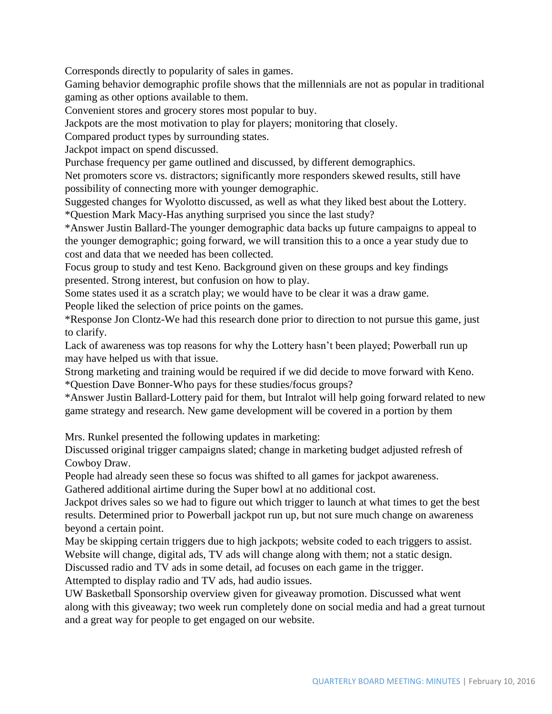Corresponds directly to popularity of sales in games.

Gaming behavior demographic profile shows that the millennials are not as popular in traditional gaming as other options available to them.

Convenient stores and grocery stores most popular to buy.

Jackpots are the most motivation to play for players; monitoring that closely.

Compared product types by surrounding states.

Jackpot impact on spend discussed.

Purchase frequency per game outlined and discussed, by different demographics.

Net promoters score vs. distractors; significantly more responders skewed results, still have possibility of connecting more with younger demographic.

Suggested changes for Wyolotto discussed, as well as what they liked best about the Lottery. \*Question Mark Macy-Has anything surprised you since the last study?

\*Answer Justin Ballard-The younger demographic data backs up future campaigns to appeal to the younger demographic; going forward, we will transition this to a once a year study due to cost and data that we needed has been collected.

Focus group to study and test Keno. Background given on these groups and key findings presented. Strong interest, but confusion on how to play.

Some states used it as a scratch play; we would have to be clear it was a draw game.

People liked the selection of price points on the games.

\*Response Jon Clontz-We had this research done prior to direction to not pursue this game, just to clarify.

Lack of awareness was top reasons for why the Lottery hasn't been played; Powerball run up may have helped us with that issue.

Strong marketing and training would be required if we did decide to move forward with Keno. \*Question Dave Bonner-Who pays for these studies/focus groups?

\*Answer Justin Ballard-Lottery paid for them, but Intralot will help going forward related to new game strategy and research. New game development will be covered in a portion by them

Mrs. Runkel presented the following updates in marketing:

Discussed original trigger campaigns slated; change in marketing budget adjusted refresh of Cowboy Draw.

People had already seen these so focus was shifted to all games for jackpot awareness. Gathered additional airtime during the Super bowl at no additional cost.

Jackpot drives sales so we had to figure out which trigger to launch at what times to get the best results. Determined prior to Powerball jackpot run up, but not sure much change on awareness beyond a certain point.

May be skipping certain triggers due to high jackpots; website coded to each triggers to assist. Website will change, digital ads, TV ads will change along with them; not a static design.

Discussed radio and TV ads in some detail, ad focuses on each game in the trigger.

Attempted to display radio and TV ads, had audio issues.

UW Basketball Sponsorship overview given for giveaway promotion. Discussed what went along with this giveaway; two week run completely done on social media and had a great turnout and a great way for people to get engaged on our website.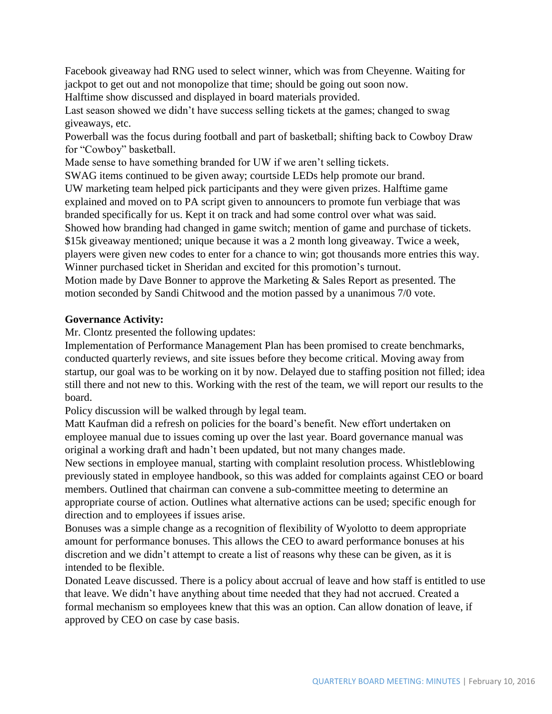Facebook giveaway had RNG used to select winner, which was from Cheyenne. Waiting for jackpot to get out and not monopolize that time; should be going out soon now.

Halftime show discussed and displayed in board materials provided.

Last season showed we didn't have success selling tickets at the games; changed to swag giveaways, etc.

Powerball was the focus during football and part of basketball; shifting back to Cowboy Draw for "Cowboy" basketball.

Made sense to have something branded for UW if we aren't selling tickets.

SWAG items continued to be given away; courtside LEDs help promote our brand. UW marketing team helped pick participants and they were given prizes. Halftime game explained and moved on to PA script given to announcers to promote fun verbiage that was branded specifically for us. Kept it on track and had some control over what was said. Showed how branding had changed in game switch; mention of game and purchase of tickets. \$15k giveaway mentioned; unique because it was a 2 month long giveaway. Twice a week, players were given new codes to enter for a chance to win; got thousands more entries this way. Winner purchased ticket in Sheridan and excited for this promotion's turnout. Motion made by Dave Bonner to approve the Marketing & Sales Report as presented. The motion seconded by Sandi Chitwood and the motion passed by a unanimous 7/0 vote.

# **Governance Activity:**

Mr. Clontz presented the following updates:

Implementation of Performance Management Plan has been promised to create benchmarks, conducted quarterly reviews, and site issues before they become critical. Moving away from startup, our goal was to be working on it by now. Delayed due to staffing position not filled; idea still there and not new to this. Working with the rest of the team, we will report our results to the board.

Policy discussion will be walked through by legal team.

Matt Kaufman did a refresh on policies for the board's benefit. New effort undertaken on employee manual due to issues coming up over the last year. Board governance manual was original a working draft and hadn't been updated, but not many changes made.

New sections in employee manual, starting with complaint resolution process. Whistleblowing previously stated in employee handbook, so this was added for complaints against CEO or board members. Outlined that chairman can convene a sub-committee meeting to determine an appropriate course of action. Outlines what alternative actions can be used; specific enough for direction and to employees if issues arise.

Bonuses was a simple change as a recognition of flexibility of Wyolotto to deem appropriate amount for performance bonuses. This allows the CEO to award performance bonuses at his discretion and we didn't attempt to create a list of reasons why these can be given, as it is intended to be flexible.

Donated Leave discussed. There is a policy about accrual of leave and how staff is entitled to use that leave. We didn't have anything about time needed that they had not accrued. Created a formal mechanism so employees knew that this was an option. Can allow donation of leave, if approved by CEO on case by case basis.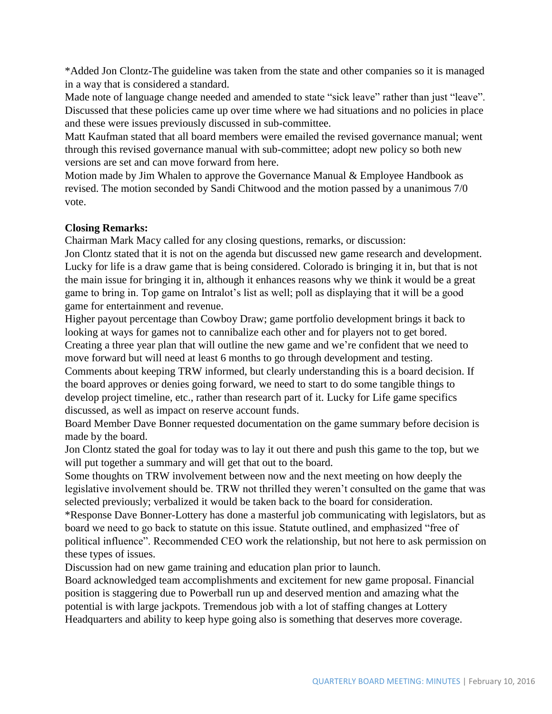\*Added Jon Clontz-The guideline was taken from the state and other companies so it is managed in a way that is considered a standard.

Made note of language change needed and amended to state "sick leave" rather than just "leave". Discussed that these policies came up over time where we had situations and no policies in place and these were issues previously discussed in sub-committee.

Matt Kaufman stated that all board members were emailed the revised governance manual; went through this revised governance manual with sub-committee; adopt new policy so both new versions are set and can move forward from here.

Motion made by Jim Whalen to approve the Governance Manual & Employee Handbook as revised. The motion seconded by Sandi Chitwood and the motion passed by a unanimous 7/0 vote.

## **Closing Remarks:**

Chairman Mark Macy called for any closing questions, remarks, or discussion:

Jon Clontz stated that it is not on the agenda but discussed new game research and development. Lucky for life is a draw game that is being considered. Colorado is bringing it in, but that is not the main issue for bringing it in, although it enhances reasons why we think it would be a great game to bring in. Top game on Intralot's list as well; poll as displaying that it will be a good game for entertainment and revenue.

Higher payout percentage than Cowboy Draw; game portfolio development brings it back to looking at ways for games not to cannibalize each other and for players not to get bored. Creating a three year plan that will outline the new game and we're confident that we need to move forward but will need at least 6 months to go through development and testing.

Comments about keeping TRW informed, but clearly understanding this is a board decision. If the board approves or denies going forward, we need to start to do some tangible things to develop project timeline, etc., rather than research part of it. Lucky for Life game specifics discussed, as well as impact on reserve account funds.

Board Member Dave Bonner requested documentation on the game summary before decision is made by the board.

Jon Clontz stated the goal for today was to lay it out there and push this game to the top, but we will put together a summary and will get that out to the board.

Some thoughts on TRW involvement between now and the next meeting on how deeply the legislative involvement should be. TRW not thrilled they weren't consulted on the game that was selected previously; verbalized it would be taken back to the board for consideration.

\*Response Dave Bonner-Lottery has done a masterful job communicating with legislators, but as board we need to go back to statute on this issue. Statute outlined, and emphasized "free of political influence". Recommended CEO work the relationship, but not here to ask permission on these types of issues.

Discussion had on new game training and education plan prior to launch.

Board acknowledged team accomplishments and excitement for new game proposal. Financial position is staggering due to Powerball run up and deserved mention and amazing what the potential is with large jackpots. Tremendous job with a lot of staffing changes at Lottery Headquarters and ability to keep hype going also is something that deserves more coverage.